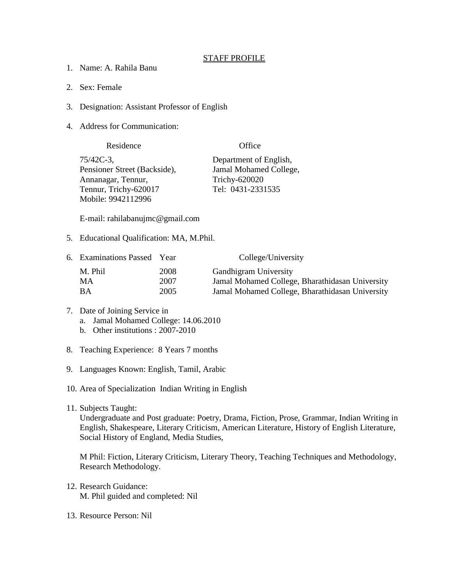## STAFF PROFILE

- 1. Name: A. Rahila Banu
- 2. Sex: Female
- 3. Designation: Assistant Professor of English
- 4. Address for Communication:

| Residence                    | Office                 |  |
|------------------------------|------------------------|--|
| 75/42C-3,                    | Department of English, |  |
| Pensioner Street (Backside), | Jamal Mohamed College, |  |
| Annanagar, Tennur,           | Trichy-620020          |  |
| Tennur, Trichy-620017        | Tel: 0431-2331535      |  |
| Mobile: 9942112996           |                        |  |

E-mail: rahilabanujmc@gmail.com

5. Educational Qualification: MA, M.Phil.

| 6. Examinations Passed Year |      | College/University                              |
|-----------------------------|------|-------------------------------------------------|
| M. Phil                     | 2008 | <b>Gandhigram University</b>                    |
| MА                          | 2007 | Jamal Mohamed College, Bharathidasan University |
| BА                          | 2005 | Jamal Mohamed College, Bharathidasan University |

- 7. Date of Joining Service in a. Jamal Mohamed College: 14.06.2010 b. Other institutions : 2007-2010
- 8. Teaching Experience: 8 Years 7 months
- 9. Languages Known: English, Tamil, Arabic
- 10. Area of Specialization Indian Writing in English
- 11. Subjects Taught:

Undergraduate and Post graduate: Poetry, Drama, Fiction, Prose, Grammar, Indian Writing in English, Shakespeare, Literary Criticism, American Literature, History of English Literature, Social History of England, Media Studies,

M Phil: Fiction, Literary Criticism, Literary Theory, Teaching Techniques and Methodology, Research Methodology.

- 12. Research Guidance: M. Phil guided and completed: Nil
- 13. Resource Person: Nil